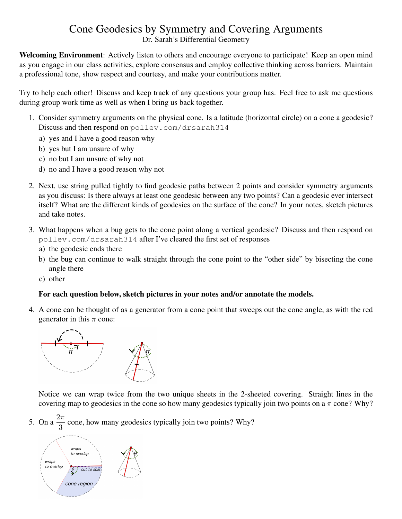## Cone Geodesics by Symmetry and Covering Arguments

Dr. Sarah's Differential Geometry

Welcoming Environment: Actively listen to others and encourage everyone to participate! Keep an open mind as you engage in our class activities, explore consensus and employ collective thinking across barriers. Maintain a professional tone, show respect and courtesy, and make your contributions matter.

Try to help each other! Discuss and keep track of any questions your group has. Feel free to ask me questions during group work time as well as when I bring us back together.

- 1. Consider symmetry arguments on the physical cone. Is a latitude (horizontal circle) on a cone a geodesic? Discuss and then respond on pollev.com/drsarah314
	- a) yes and I have a good reason why
	- b) yes but I am unsure of why
	- c) no but I am unsure of why not
	- d) no and I have a good reason why not
- 2. Next, use string pulled tightly to find geodesic paths between 2 points and consider symmetry arguments as you discuss: Is there always at least one geodesic between any two points? Can a geodesic ever intersect itself? What are the different kinds of geodesics on the surface of the cone? In your notes, sketch pictures and take notes.
- 3. What happens when a bug gets to the cone point along a vertical geodesic? Discuss and then respond on pollev.com/drsarah314 after I've cleared the first set of responses
	- a) the geodesic ends there
	- b) the bug can continue to walk straight through the cone point to the "other side" by bisecting the cone angle there
	- c) other

## For each question below, sketch pictures in your notes and/or annotate the models.

4. A cone can be thought of as a generator from a cone point that sweeps out the cone angle, as with the red generator in this  $\pi$  cone:



Notice we can wrap twice from the two unique sheets in the 2-sheeted covering. Straight lines in the covering map to geodesics in the cone so how many geodesics typically join two points on a  $\pi$  cone? Why?

5. On a  $2\pi$  $\frac{\pi}{3}$  cone, how many geodesics typically join two points? Why?